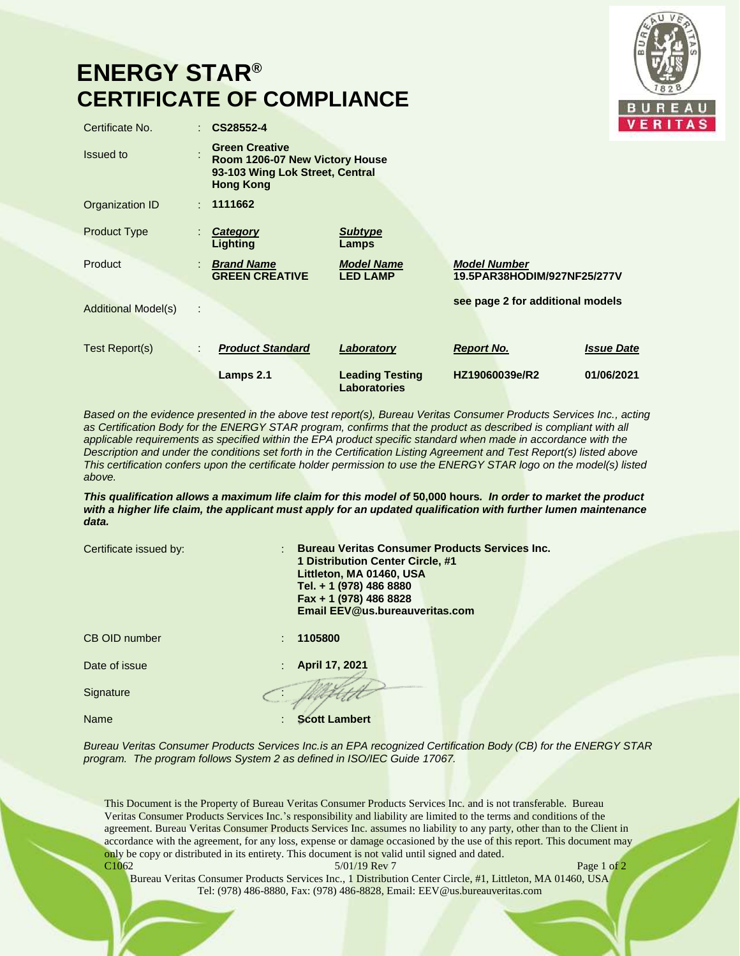## **ENERGY STAR® CERTIFICATE OF COMPLIANCE**



| Certificate No.                 | CS28552-4                                                                                                      |                                               |                                                    | v                 |
|---------------------------------|----------------------------------------------------------------------------------------------------------------|-----------------------------------------------|----------------------------------------------------|-------------------|
| Issued to                       | <b>Green Creative</b><br>Room 1206-07 New Victory House<br>93-103 Wing Lok Street, Central<br><b>Hong Kong</b> |                                               |                                                    |                   |
| Organization ID                 | : 1111662                                                                                                      |                                               |                                                    |                   |
| <b>Product Type</b>             | Category<br><b>Lighting</b>                                                                                    | <b>Subtype</b><br>Lamps                       |                                                    |                   |
| Product                         | <b>Brand Name</b><br><b>GREEN CREATIVE</b>                                                                     | <b>Model Name</b><br><b>LED LAMP</b>          | <b>Model Number</b><br>19.5PAR38HODIM/927NF25/277V |                   |
| <b>Additional Model(s)</b><br>÷ |                                                                                                                |                                               | see page 2 for additional models                   |                   |
| Test Report(s)<br>÷.            | <b>Product Standard</b>                                                                                        | Laboratory                                    | <b>Report No.</b>                                  | <b>Issue Date</b> |
|                                 | Lamps 2.1                                                                                                      | <b>Leading Testing</b><br><b>Laboratories</b> | HZ19060039e/R2                                     | 01/06/2021        |

*Based on the evidence presented in the above test report(s), Bureau Veritas Consumer Products Services Inc., acting*  as Certification Body for the ENERGY STAR program, confirms that the product as described is compliant with all *applicable requirements as specified within the EPA product specific standard when made in accordance with the Description and under the conditions set forth in the Certification Listing Agreement and Test Report(s) listed above This certification confers upon the certificate holder permission to use the ENERGY STAR logo on the model(s) listed above.*

*This qualification allows a maximum life claim for this model of* **50,000 hours***. In order to market the product with a higher life claim, the applicant must apply for an updated qualification with further lumen maintenance data.*

| Certificate issued by: | : Bureau Veritas Consumer Products Services Inc.<br>1 Distribution Center Circle, #1<br>Littleton, MA 01460, USA<br>Tel. + 1 (978) 486 8880<br>Fax + 1 (978) 486 8828<br>Email EEV@us.bureauveritas.com |  |  |
|------------------------|---------------------------------------------------------------------------------------------------------------------------------------------------------------------------------------------------------|--|--|
| <b>CB OID number</b>   | 1105800<br>٠                                                                                                                                                                                            |  |  |
| Date of issue          | April 17, 2021                                                                                                                                                                                          |  |  |
| Signature              |                                                                                                                                                                                                         |  |  |
| Name                   | <b>Scott Lambert</b>                                                                                                                                                                                    |  |  |
|                        |                                                                                                                                                                                                         |  |  |

*Bureau Veritas Consumer Products Services Inc.is an EPA recognized Certification Body (CB) for the ENERGY STAR program. The program follows System 2 as defined in ISO/IEC Guide 17067.*

This Document is the Property of Bureau Veritas Consumer Products Services Inc. and is not transferable. Bureau Veritas Consumer Products Services Inc.'s responsibility and liability are limited to the terms and conditions of the agreement. Bureau Veritas Consumer Products Services Inc. assumes no liability to any party, other than to the Client in accordance with the agreement, for any loss, expense or damage occasioned by the use of this report. This document may only be copy or distributed in its entirety. This document is not valid until signed and dated. C1062 **S**/01/19 Rev 7 **Page 1 of 2** 

Bureau Veritas Consumer Products Services Inc., 1 Distribution Center Circle, #1, Littleton, MA 01460, USA Tel: (978) 486-8880, Fax: (978) 486-8828, Email: EEV@us.bureauveritas.com